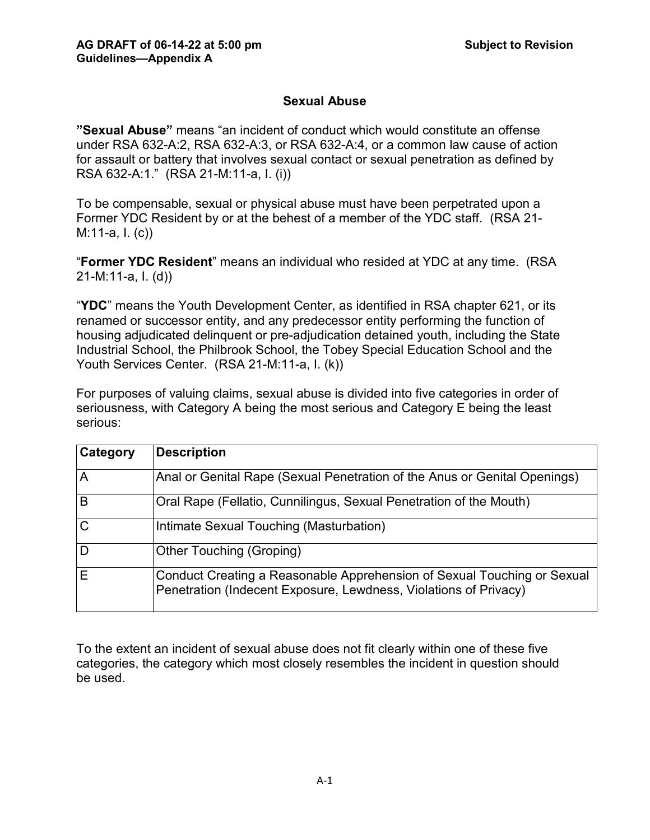# **Sexual Abuse**

**"Sexual Abuse"** means "an incident of conduct which would constitute an offense under RSA 632-A:2, RSA 632-A:3, or RSA 632-A:4, or a common law cause of action for assault or battery that involves sexual contact or sexual penetration as defined by RSA 632-A:1." (RSA 21-M:11-a, I. (i))

To be compensable, sexual or physical abuse must have been perpetrated upon a Former YDC Resident by or at the behest of a member of the YDC staff. (RSA 21- M:11-a, I. (c))

"**Former YDC Resident**" means an individual who resided at YDC at any time. (RSA 21-M:11-a, I. (d))

"**YDC**" means the Youth Development Center, as identified in RSA chapter 621, or its renamed or successor entity, and any predecessor entity performing the function of housing adjudicated delinquent or pre-adjudication detained youth, including the State Industrial School, the Philbrook School, the Tobey Special Education School and the Youth Services Center. (RSA 21-M:11-a, I. (k))

For purposes of valuing claims, sexual abuse is divided into five categories in order of seriousness, with Category A being the most serious and Category E being the least serious:

| Category     | <b>Description</b>                                                                                                                          |
|--------------|---------------------------------------------------------------------------------------------------------------------------------------------|
| A            | Anal or Genital Rape (Sexual Penetration of the Anus or Genital Openings)                                                                   |
| B            | Oral Rape (Fellatio, Cunnilingus, Sexual Penetration of the Mouth)                                                                          |
| $\mathsf{C}$ | Intimate Sexual Touching (Masturbation)                                                                                                     |
| D            | <b>Other Touching (Groping)</b>                                                                                                             |
| E            | Conduct Creating a Reasonable Apprehension of Sexual Touching or Sexual<br>Penetration (Indecent Exposure, Lewdness, Violations of Privacy) |

To the extent an incident of sexual abuse does not fit clearly within one of these five categories, the category which most closely resembles the incident in question should be used.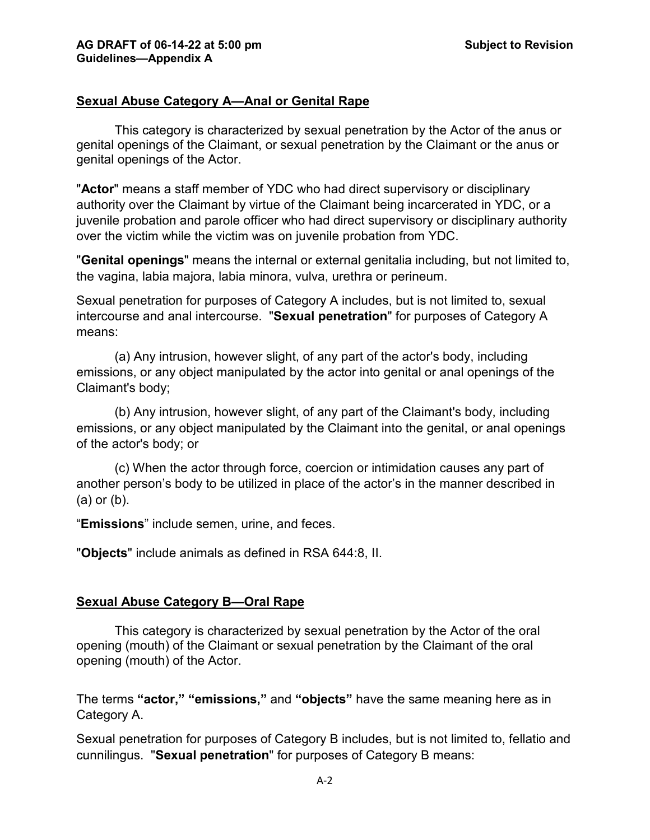## **Sexual Abuse Category A—Anal or Genital Rape**

This category is characterized by sexual penetration by the Actor of the anus or genital openings of the Claimant, or sexual penetration by the Claimant or the anus or genital openings of the Actor.

"**Actor**" means a staff member of YDC who had direct supervisory or disciplinary authority over the Claimant by virtue of the Claimant being incarcerated in YDC, or a juvenile probation and parole officer who had direct supervisory or disciplinary authority over the victim while the victim was on juvenile probation from YDC.

"**Genital openings**" means the internal or external genitalia including, but not limited to, the vagina, labia majora, labia minora, vulva, urethra or perineum.

Sexual penetration for purposes of Category A includes, but is not limited to, sexual intercourse and anal intercourse. "**Sexual penetration**" for purposes of Category A means:

(a) Any intrusion, however slight, of any part of the actor's body, including emissions, or any object manipulated by the actor into genital or anal openings of the Claimant's body;

(b) Any intrusion, however slight, of any part of the Claimant's body, including emissions, or any object manipulated by the Claimant into the genital, or anal openings of the actor's body; or

(c) When the actor through force, coercion or intimidation causes any part of another person's body to be utilized in place of the actor's in the manner described in (a) or (b).

"**Emissions**" include semen, urine, and feces.

"**Objects**" include animals as defined in RSA 644:8, II.

#### **Sexual Abuse Category B—Oral Rape**

This category is characterized by sexual penetration by the Actor of the oral opening (mouth) of the Claimant or sexual penetration by the Claimant of the oral opening (mouth) of the Actor.

The terms **"actor," "emissions,"** and **"objects"** have the same meaning here as in Category A.

Sexual penetration for purposes of Category B includes, but is not limited to, fellatio and cunnilingus. "**Sexual penetration**" for purposes of Category B means: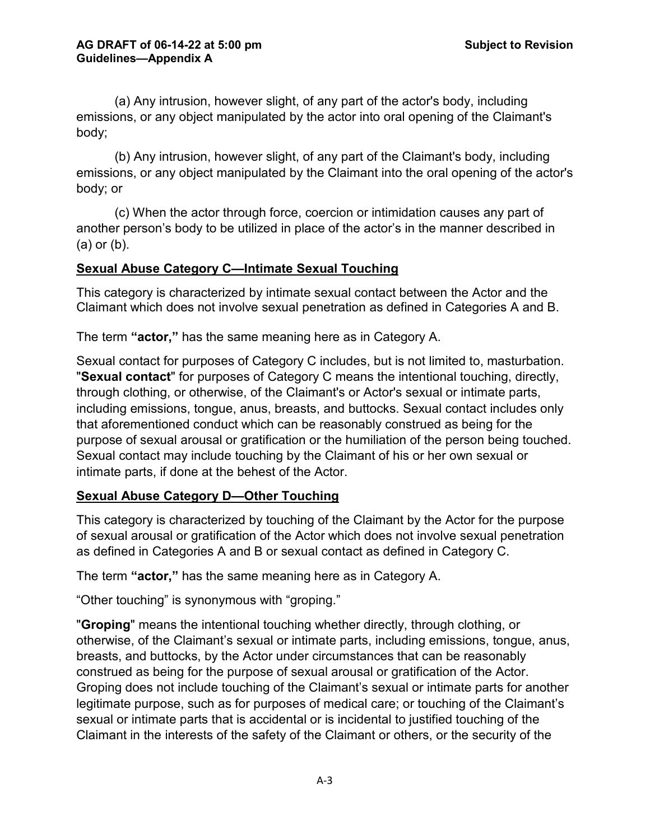(a) Any intrusion, however slight, of any part of the actor's body, including emissions, or any object manipulated by the actor into oral opening of the Claimant's body;

(b) Any intrusion, however slight, of any part of the Claimant's body, including emissions, or any object manipulated by the Claimant into the oral opening of the actor's body; or

(c) When the actor through force, coercion or intimidation causes any part of another person's body to be utilized in place of the actor's in the manner described in (a) or (b).

### **Sexual Abuse Category C—Intimate Sexual Touching**

This category is characterized by intimate sexual contact between the Actor and the Claimant which does not involve sexual penetration as defined in Categories A and B.

The term **"actor,"** has the same meaning here as in Category A.

Sexual contact for purposes of Category C includes, but is not limited to, masturbation. "**Sexual contact**" for purposes of Category C means the intentional touching, directly, through clothing, or otherwise, of the Claimant's or Actor's sexual or intimate parts, including emissions, tongue, anus, breasts, and buttocks. Sexual contact includes only that aforementioned conduct which can be reasonably construed as being for the purpose of sexual arousal or gratification or the humiliation of the person being touched. Sexual contact may include touching by the Claimant of his or her own sexual or intimate parts, if done at the behest of the Actor.

## **Sexual Abuse Category D—Other Touching**

This category is characterized by touching of the Claimant by the Actor for the purpose of sexual arousal or gratification of the Actor which does not involve sexual penetration as defined in Categories A and B or sexual contact as defined in Category C.

The term **"actor,"** has the same meaning here as in Category A.

"Other touching" is synonymous with "groping."

"**Groping**" means the intentional touching whether directly, through clothing, or otherwise, of the Claimant's sexual or intimate parts, including emissions, tongue, anus, breasts, and buttocks, by the Actor under circumstances that can be reasonably construed as being for the purpose of sexual arousal or gratification of the Actor. Groping does not include touching of the Claimant's sexual or intimate parts for another legitimate purpose, such as for purposes of medical care; or touching of the Claimant's sexual or intimate parts that is accidental or is incidental to justified touching of the Claimant in the interests of the safety of the Claimant or others, or the security of the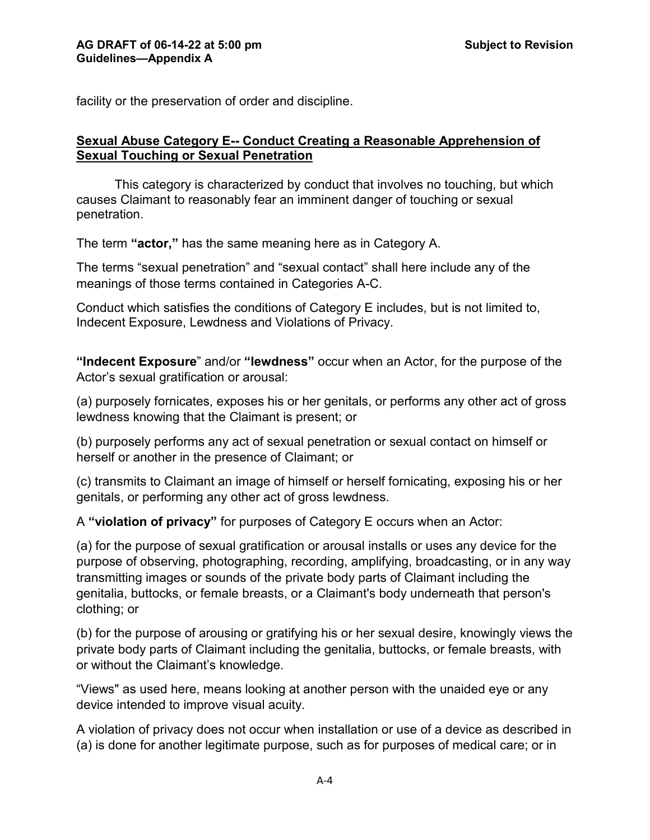facility or the preservation of order and discipline.

#### **Sexual Abuse Category E-- Conduct Creating a Reasonable Apprehension of Sexual Touching or Sexual Penetration**

This category is characterized by conduct that involves no touching, but which causes Claimant to reasonably fear an imminent danger of touching or sexual penetration.

The term **"actor,"** has the same meaning here as in Category A.

The terms "sexual penetration" and "sexual contact" shall here include any of the meanings of those terms contained in Categories A-C.

Conduct which satisfies the conditions of Category E includes, but is not limited to, Indecent Exposure, Lewdness and Violations of Privacy.

**"Indecent Exposure**" and/or **"lewdness"** occur when an Actor, for the purpose of the Actor's sexual gratification or arousal:

(a) purposely fornicates, exposes his or her genitals, or performs any other act of gross lewdness knowing that the Claimant is present; or

(b) purposely performs any act of sexual penetration or sexual contact on himself or herself or another in the presence of Claimant; or

(c) transmits to Claimant an image of himself or herself fornicating, exposing his or her genitals, or performing any other act of gross lewdness.

A **"violation of privacy"** for purposes of Category E occurs when an Actor:

(a) for the purpose of sexual gratification or arousal installs or uses any device for the purpose of observing, photographing, recording, amplifying, broadcasting, or in any way transmitting images or sounds of the private body parts of Claimant including the genitalia, buttocks, or female breasts, or a Claimant's body underneath that person's clothing; or

(b) for the purpose of arousing or gratifying his or her sexual desire, knowingly views the private body parts of Claimant including the genitalia, buttocks, or female breasts, with or without the Claimant's knowledge.

"Views" as used here, means looking at another person with the unaided eye or any device intended to improve visual acuity.

A violation of privacy does not occur when installation or use of a device as described in (a) is done for another legitimate purpose, such as for purposes of medical care; or in